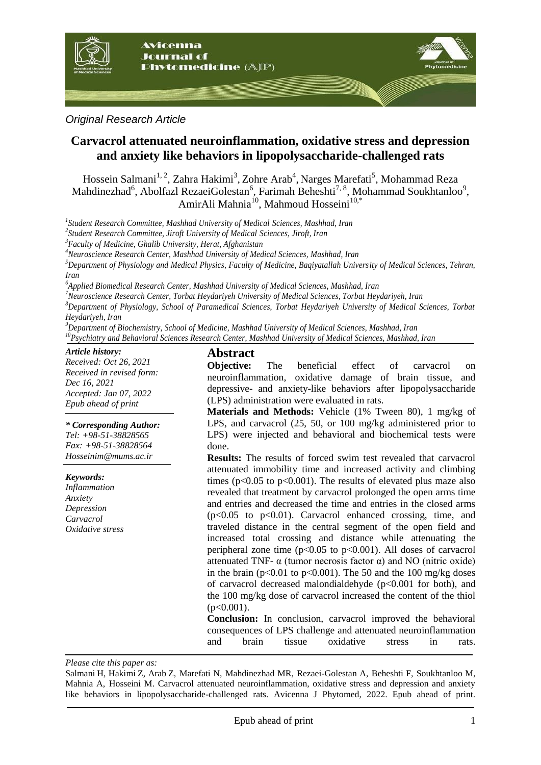

*Original Research Article*

# **Carvacrol attenuated neuroinflammation, oxidative stress and depression and anxiety like behaviors in lipopolysaccharide-challenged rats**

Hossein Salmani<sup>1, 2</sup>, Zahra Hakimi<sup>3</sup>, Zohre Arab<sup>4</sup>, Narges Marefati<sup>5</sup>, Mohammad Reza Mahdinezhad<sup>6</sup>, Abolfazl RezaeiGolestan<sup>6</sup>, Farimah Beheshti<sup>7, 8</sup>, Mohammad Soukhtanloo<sup>9</sup>, AmirAli Mahnia<sup>10</sup>, Mahmoud Hosseini<sup>10,\*</sup>

*1 Student Research Committee, Mashhad University of Medical Sciences, Mashhad, Iran*

*2 Student Research Committee, Jiroft University of Medical Sciences, Jiroft, Iran*

*<sup>3</sup>Faculty of Medicine, Ghalib University, Herat, Afghanistan*

*<sup>4</sup>Neuroscience Research Center, Mashhad University of Medical Sciences, Mashhad, Iran*

*<sup>5</sup>Department of Physiology and Medical Physics, Faculty of Medicine, Baqiyatallah University of Medical Sciences, Tehran, Iran*

*<sup>6</sup>Applied Biomedical Research Center, Mashhad University of Medical Sciences, Mashhad, Iran*

*<sup>7</sup>Neuroscience Research Center, Torbat Heydariyeh University of Medical Sciences, Torbat Heydariyeh, Iran*

*<sup>8</sup>Department of Physiology, School of Paramedical Sciences, Torbat Heydariyeh University of Medical Sciences, Torbat Heydariyeh, Iran*

*<sup>9</sup>Department of Biochemistry, School of Medicine, Mashhad University of Medical Sciences, Mashhad, Iran <sup>10</sup>Psychiatry and Behavioral Sciences Research Center, Mashhad University of Medical Sciences, Mashhad, Iran*

#### *Article history:*

*Received: Oct 26, 2021 Received in revised form: Dec 16, 2021 Accepted: Jan 07, 2022 Epub ahead of print*

#### *\* Corresponding Author:*

*Tel: +98-51-38828565 Fax: +98-51-38828564 Hosseinim@mums.ac.ir*

#### *Keywords:*

*Inflammation Anxiety Depression Carvacrol Oxidative stress*

## **Abstract**

**Objective:** The beneficial effect of carvacrol on neuroinflammation, oxidative damage of brain tissue, and depressive- and anxiety-like behaviors after lipopolysaccharide (LPS) administration were evaluated in rats.

**Materials and Methods:** Vehicle (1% Tween 80), 1 mg/kg of LPS, and carvacrol (25, 50, or 100 mg/kg administered prior to LPS) were injected and behavioral and biochemical tests were done.

**Results:** The results of forced swim test revealed that carvacrol attenuated immobility time and increased activity and climbing times ( $p<0.05$  to  $p<0.001$ ). The results of elevated plus maze also revealed that treatment by carvacrol prolonged the open arms time and entries and decreased the time and entries in the closed arms  $(p<0.05$  to  $p<0.01$ ). Carvacrol enhanced crossing, time, and traveled distance in the central segment of the open field and increased total crossing and distance while attenuating the peripheral zone time  $(p<0.05$  to  $p<0.001$ ). All doses of carvacrol attenuated TNF-  $\alpha$  (tumor necrosis factor  $\alpha$ ) and NO (nitric oxide) in the brain ( $p<0.01$  to  $p<0.001$ ). The 50 and the 100 mg/kg doses of carvacrol decreased malondialdehyde ( $p<0.001$  for both), and the 100 mg/kg dose of carvacrol increased the content of the thiol  $(p<0.001)$ .

**Conclusion:** In conclusion, carvacrol improved the behavioral consequences of LPS challenge and attenuated neuroinflammation and brain tissue oxidative stress in rats.

*Please cite this paper as:* 

Salmani H, Hakimi Z, Arab Z, Marefati N, Mahdinezhad MR, Rezaei-Golestan A, Beheshti F, Soukhtanloo M, Mahnia A, Hosseini M. Carvacrol attenuated neuroinflammation, oxidative stress and depression and anxiety like behaviors in lipopolysaccharide-challenged rats. Avicenna J Phytomed, 2022. Epub ahead of print.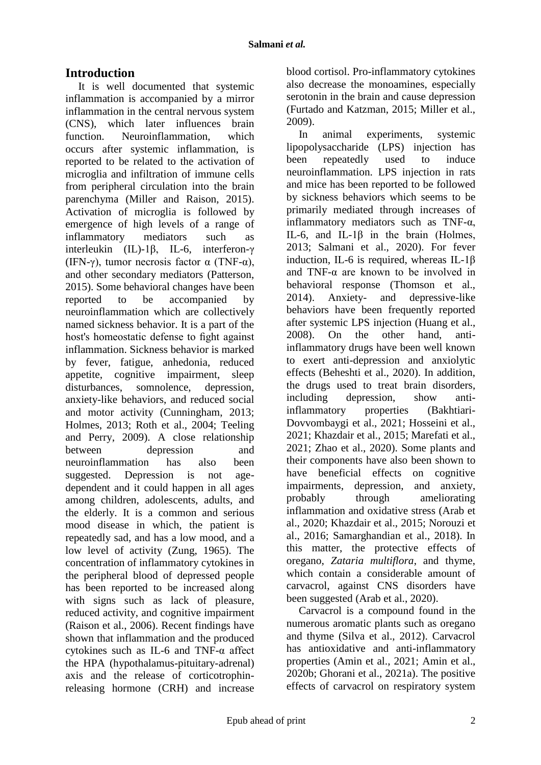# **Introduction**

It is well documented that systemic inflammation is accompanied by a mirror inflammation in the central nervous system (CNS), which later influences brain function. Neuroinflammation, which occurs after systemic inflammation, is reported to be related to the activation of microglia and infiltration of immune cells from peripheral circulation into the brain parenchyma (Miller and Raison, 2015). Activation of microglia is followed by emergence of high levels of a range of inflammatory mediators such as interleukin (IL)-1β, IL-6, interferon-γ (IFN-γ), tumor necrosis factor  $\alpha$  (TNF- $\alpha$ ), and other secondary mediators (Patterson, 2015). Some behavioral changes have been reported to be accompanied by neuroinflammation which are collectively named sickness behavior. It is a part of the host's homeostatic defense to fight against inflammation. Sickness behavior is marked by fever, fatigue, anhedonia, reduced appetite, cognitive impairment, sleep disturbances, somnolence, depression, anxiety-like behaviors, and reduced social and motor activity (Cunningham, 2013; Holmes, 2013; Roth et al., 2004; Teeling and Perry, 2009). A close relationship between depression and neuroinflammation has also been suggested. Depression is not agedependent and it could happen in all ages among children, adolescents, adults, and the elderly. It is a common and serious mood disease in which, the patient is repeatedly sad, and has a low mood, and a low level of activity (Zung, 1965). The concentration of inflammatory cytokines in the peripheral blood of depressed people has been reported to be increased along with signs such as lack of pleasure, reduced activity, and cognitive impairment (Raison et al., 2006). Recent findings have shown that inflammation and the produced cytokines such as IL-6 and TNF-α affect the HPA (hypothalamus-pituitary-adrenal) axis and the release of corticotrophinreleasing hormone (CRH) and increase blood cortisol. Pro-inflammatory cytokines also decrease the monoamines, especially serotonin in the brain and cause depression (Furtado and Katzman, 2015; Miller et al., 2009).

In animal experiments, systemic lipopolysaccharide (LPS) injection has been repeatedly used to induce neuroinflammation. LPS injection in rats and mice has been reported to be followed by sickness behaviors which seems to be primarily mediated through increases of inflammatory mediators such as TNF- $\alpha$ , IL-6, and IL-1β in the brain (Holmes, 2013; Salmani et al., 2020). For fever induction, IL-6 is required, whereas IL-1β and TNF- $\alpha$  are known to be involved in behavioral response (Thomson et al., 2014). Anxiety- and depressive-like behaviors have been frequently reported after systemic LPS injection (Huang et al., 2008). On the other hand, antiinflammatory drugs have been well known to exert anti-depression and anxiolytic effects (Beheshti et al., 2020). In addition, the drugs used to treat brain disorders, including depression, show antiinflammatory properties (Bakhtiari-Dovvombaygi et al., 2021; Hosseini et al., 2021; Khazdair et al., 2015; Marefati et al., 2021; Zhao et al., 2020). Some plants and their components have also been shown to have beneficial effects on cognitive impairments, depression, and anxiety, probably through ameliorating inflammation and oxidative stress (Arab et al., 2020; Khazdair et al., 2015; Norouzi et al., 2016; Samarghandian et al., 2018). In this matter, the protective effects of oregano, *Zataria multiflora*, and thyme, which contain a considerable amount of carvacrol, against CNS disorders have been suggested (Arab et al., 2020).

Carvacrol is a compound found in the numerous aromatic plants such as oregano and thyme (Silva et al., 2012). Carvacrol has antioxidative and anti-inflammatory properties (Amin et al., 2021; Amin et al., 2020b; Ghorani et al., 2021a). The positive effects of carvacrol on respiratory system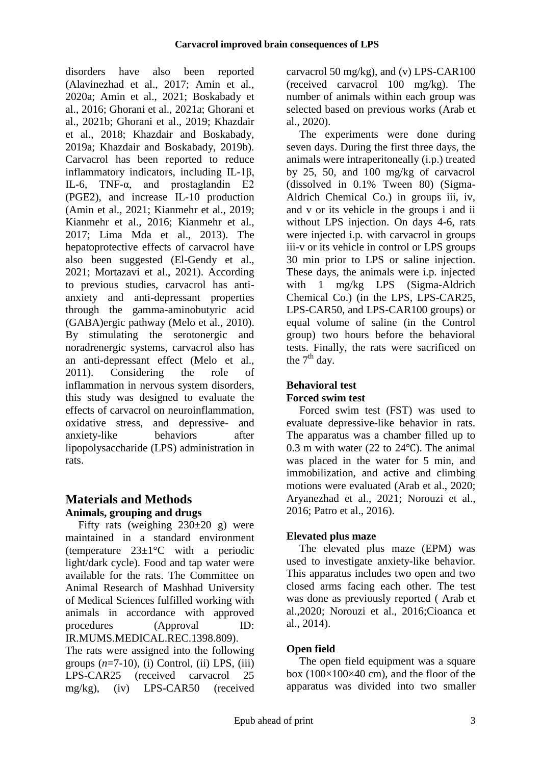disorders have also been reported (Alavinezhad et al., 2017; Amin et al., 2020a; Amin et al., 2021; Boskabady et al., 2016; Ghorani et al., 2021a; Ghorani et al., 2021b; Ghorani et al., 2019; Khazdair et al., 2018; Khazdair and Boskabady, 2019a; Khazdair and Boskabady, 2019b). Carvacrol has been reported to reduce inflammatory indicators, including IL-1β, IL-6, TNF- $α$ , and prostaglandin E2 (PGE2), and increase IL-10 production (Amin et al., 2021; Kianmehr et al., 2019; Kianmehr et al., 2016; Kianmehr et al., 2017; Lima Mda et al., 2013). The hepatoprotective effects of carvacrol have also been suggested (El-Gendy et al., 2021; Mortazavi et al., 2021). According to previous studies, carvacrol has antianxiety and anti-depressant properties through the gamma-aminobutyric acid (GABA)ergic pathway (Melo et al., 2010). By stimulating the serotonergic and noradrenergic systems, carvacrol also has an anti-depressant effect (Melo et al., 2011). Considering the role of inflammation in nervous system disorders, this study was designed to evaluate the effects of carvacrol on neuroinflammation, oxidative stress, and depressive- and anxiety-like behaviors after lipopolysaccharide (LPS) administration in rats.

# **Materials and Methods Animals, grouping and drugs**

Fifty rats (weighing  $230\pm20$  g) were maintained in a standard environment (temperature 23±1°C with a periodic light/dark cycle). Food and tap water were available for the rats. The Committee on Animal Research of Mashhad University of Medical Sciences fulfilled working with animals in accordance with approved procedures (Approval ID: IR.MUMS.MEDICAL.REC.1398.809).

The rats were assigned into the following groups  $(n=7-10)$ , (i) Control, (ii) LPS, (iii) LPS-CAR25 (received carvacrol 25 mg/kg), (iv) LPS-CAR50 (received carvacrol 50 mg/kg), and (v) LPS-CAR100 (received carvacrol 100 mg/kg). The number of animals within each group was selected based on previous works [\(Arab et](#page-9-0)  [al., 2020\)](#page-9-0).

The experiments were done during seven days. During the first three days, the animals were intraperitoneally (i.p.) treated by 25, 50, and 100 mg/kg of carvacrol (dissolved in 0.1% Tween 80) (Sigma-Aldrich Chemical Co.) in groups iii, iv, and v or its vehicle in the groups i and ii without LPS injection. On days 4-6, rats were injected i.p*.* with carvacrol in groups iii-v or its vehicle in control or LPS groups 30 min prior to LPS or saline injection. These days, the animals were i.p. injected with 1 mg/kg LPS (Sigma-Aldrich Chemical Co.) (in the LPS, LPS-CAR25, LPS-CAR50, and LPS-CAR100 groups) or equal volume of saline (in the Control group) two hours before the behavioral tests. Finally, the rats were sacrificed on the  $7<sup>th</sup>$  day.

# **Behavioral test Forced swim test**

Forced swim test (FST) was used to evaluate depressive-like behavior in rats. The apparatus was a chamber filled up to 0.3 m with water (22 to 24℃). The animal was placed in the water for 5 min, and immobilization, and active and climbing motions were evaluated [\(Arab et al., 2020;](#page-9-0) [Aryanezhad et al., 2021;](#page-9-1) [Norouzi et al.,](#page-11-0)  [2016;](#page-11-0) [Patro et al., 2016\)](#page-11-1).

# **Elevated plus maze**

The elevated plus maze (EPM) was used to investigate anxiety-like behavior. This apparatus includes two open and two closed arms facing each other. The test was done as previously reported ( Arab et al.,2020; [Norouzi et al., 2016](#page-11-0)[;Cioanca et](#page-9-2)  [al., 2014\)](#page-9-2).

# **Open field**

The open field equipment was a square box  $(100\times100\times40$  cm), and the floor of the apparatus was divided into two smaller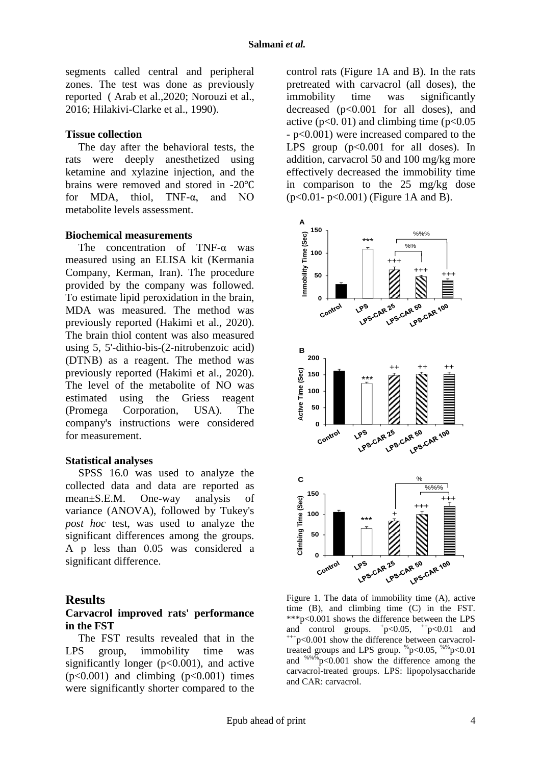segments called central and peripheral zones. The test was done as previously reported ( Arab et al.,2020; [Norouzi et al.,](#page-11-0)  [2016;](#page-11-0) [Hilakivi-Clarke et al., 1990\)](#page-10-0).

### **Tissue collection**

The day after the behavioral tests, the rats were deeply anesthetized using ketamine and xylazine injection, and the brains were removed and stored in -20℃ for MDA, thiol,  $TNF-\alpha$  and NO metabolite levels assessment.

### **Biochemical measurements**

The concentration of TNF-α was measured using an ELISA kit (Kermania Company, Kerman, Iran). The procedure provided by the company was followed. To estimate lipid peroxidation in the brain, MDA was measured. The method was previously reported [\(Hakimi et al., 2020\)](#page-10-1). The brain thiol content was also measured using 5, 5'-dithio-bis-(2-nitrobenzoic acid) (DTNB) as a reagent. The method was previously reported [\(Hakimi et al., 2020\)](#page-10-1). The level of the metabolite of NO was estimated using the Griess reagent (Promega Corporation, USA). The company's instructions were considered for measurement.

#### **Statistical analyses**

SPSS 16.0 was used to analyze the collected data and data are reported as mean±S.E.M. One-way analysis of variance (ANOVA), followed by Tukey's *post hoc* test, was used to analyze the significant differences among the groups. A p less than 0.05 was considered a significant difference.

### **Results**

### **Carvacrol improved rats' performance in the FST**

The FST results revealed that in the LPS group, immobility time was significantly longer ( $p<0.001$ ), and active  $(p<0.001)$  and climbing  $(p<0.001)$  times were significantly shorter compared to the

control rats (Figure 1A and B). In the rats pretreated with carvacrol (all doses), the immobility time was significantly decreased (p<0.001 for all doses), and active ( $p<0.01$ ) and climbing time ( $p<0.05$ ) - p<0.001) were increased compared to the LPS group  $(p<0.001$  for all doses). In addition, carvacrol 50 and 100 mg/kg more effectively decreased the immobility time in comparison to the 25 mg/kg dose (p<0.01- p<0.001) (Figure 1A and B).



Figure 1. The data of immobility time (A), active time (B), and climbing time (C) in the FST. \*\*\*p<0.001 shows the difference between the LPS and control groups.  $+p<0.05$ ,  $^{++}p<0.01$  and  $+p<0.001$  show the difference between carvacroltreated groups and LPS group.  $\degree$ p<0.05,  $\degree$ %p<0.01 and  $\frac{$86}{9}$  p<0.001 show the difference among the carvacrol-treated groups. LPS: lipopolysaccharide and CAR: carvacrol.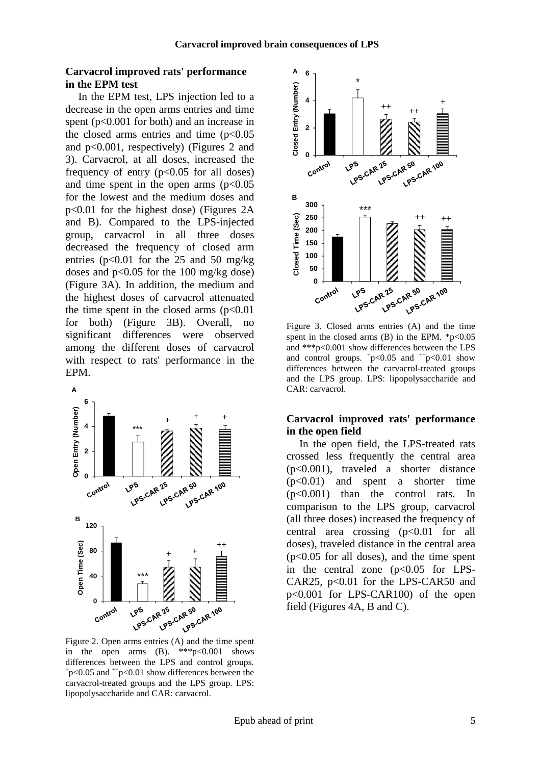### **Carvacrol improved rats' performance in the EPM test**

In the EPM test, LPS injection led to a decrease in the open arms entries and time spent (p<0.001 for both) and an increase in the closed arms entries and time  $(p<0.05$ and p<0.001, respectively) (Figures 2 and 3). Carvacrol, at all doses, increased the frequency of entry  $(p<0.05$  for all doses) and time spent in the open arms  $(p<0.05$ for the lowest and the medium doses and p<0.01 for the highest dose) (Figures 2A and B). Compared to the LPS-injected group, carvacrol in all three doses decreased the frequency of closed arm entries ( $p<0.01$  for the 25 and 50 mg/kg doses and  $p<0.05$  for the 100 mg/kg dose) (Figure 3A). In addition, the medium and the highest doses of carvacrol attenuated the time spent in the closed arms  $(p<0.01$ for both) (Figure 3B). Overall, no significant differences were observed among the different doses of carvacrol with respect to rats' performance in the EPM.



in the open arms  $(B)$ . \*\*\*p<0.001 shows differences between the LPS and control groups.  $+p<0.05$  and  $+p<0.01$  show differences between the carvacrol-treated groups and the LPS group. LPS: lipopolysaccharide and CAR: carvacrol.



Figure 3. Closed arms entries (A) and the time spent in the closed arms  $(B)$  in the EPM.  $*_{p<0.05}$ and \*\*\*p<0.001 show differences between the LPS and control groups.  $+p<0.05$  and  $+p<0.01$  show differences between the carvacrol-treated groups and the LPS group. LPS: lipopolysaccharide and CAR: carvacrol.

### **Carvacrol improved rats' performance in the open field**

In the open field, the LPS-treated rats crossed less frequently the central area (p<0.001), traveled a shorter distance (p<0.01) and spent a shorter time (p<0.001) than the control rats. In comparison to the LPS group, carvacrol (all three doses) increased the frequency of central area crossing  $(p<0.01$  for all doses), traveled distance in the central area (p<0.05 for all doses), and the time spent in the central zone  $(p<0.05$  for LPS-CAR25,  $p<0.01$  for the LPS-CAR50 and p<0.001 for LPS-CAR100) of the open field (Figures 4A, B and C).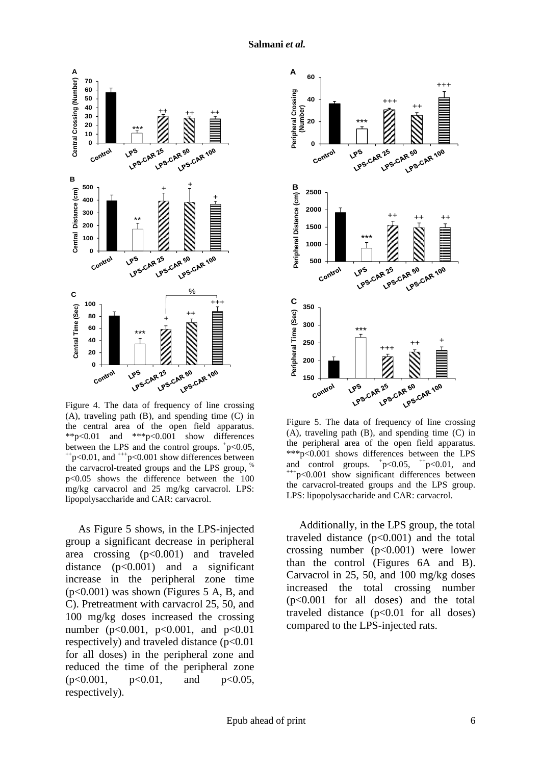

Figure 4. The data of frequency of line crossing (A), traveling path (B), and spending time (C) in the central area of the open field apparatus. \*\*p<0.01 and \*\*\*p<0.001 show differences between the LPS and the control groups.  $+p<0.05$ ,  $^{++}p<0.01$ , and  $^{++}p<0.001$  show differences between the carvacrol-treated groups and the LPS group, p<0.05 shows the difference between the 100 mg/kg carvacrol and 25 mg/kg carvacrol. LPS: lipopolysaccharide and CAR: carvacrol.

As Figure 5 shows, in the LPS-injected group a significant decrease in peripheral area crossing (p<0.001) and traveled distance  $(p<0.001)$  and a significant increase in the peripheral zone time (p<0.001) was shown (Figures 5 A, B, and C). Pretreatment with carvacrol 25, 50, and 100 mg/kg doses increased the crossing number ( $p<0.001$ ,  $p<0.001$ , and  $p<0.01$ respectively) and traveled distance  $(p<0.01$ for all doses) in the peripheral zone and reduced the time of the peripheral zone (p<0.001, p<0.01, and p<0.05, respectively).



Figure 5. The data of frequency of line crossing (A), traveling path (B), and spending time (C) in the peripheral area of the open field apparatus. \*\*\*p<0.001 shows differences between the LPS and control groups.  $+p<0.05$ ,  $+p<0.01$ , and  $+p<0.001$  show significant differences between the carvacrol-treated groups and the LPS group. LPS: lipopolysaccharide and CAR: carvacrol.

Additionally, in the LPS group, the total traveled distance  $(p<0.001)$  and the total crossing number  $(p<0.001)$  were lower than the control (Figures 6A and B). Carvacrol in 25, 50, and 100 mg/kg doses increased the total crossing number (p<0.001 for all doses) and the total traveled distance  $(p<0.01$  for all doses) compared to the LPS-injected rats.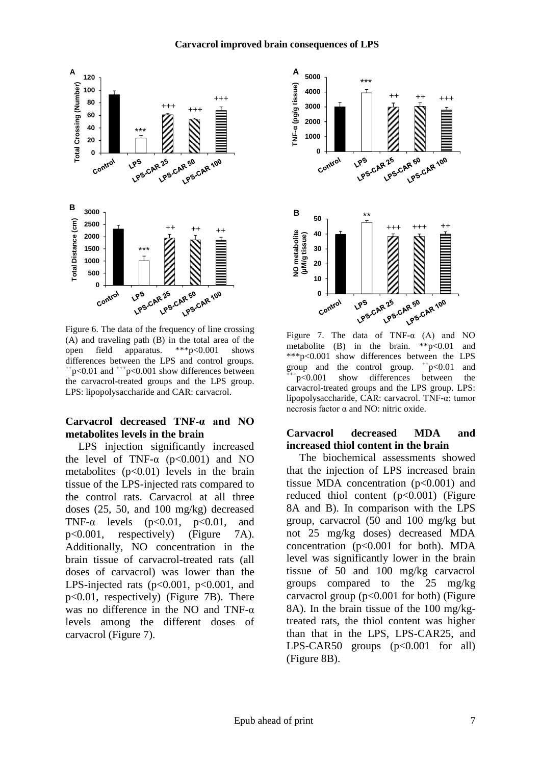



Figure 6. The data of the frequency of line crossing (A) and traveling path (B) in the total area of the open field apparatus. \*\*\*p<0.001 shows differences between the LPS and control groups.  $^{++}p<0.01$  and  $^{++}p<0.001$  show differences between the carvacrol-treated groups and the LPS group. LPS: lipopolysaccharide and CAR: carvacrol.

## **Carvacrol decreased TNF-α and NO metabolites levels in the brain**

LPS injection significantly increased the level of TNF- $\alpha$  (p<0.001) and NO metabolites  $(p<0.01)$  levels in the brain tissue of the LPS-injected rats compared to the control rats. Carvacrol at all three doses (25, 50, and 100 mg/kg) decreased TNF- $\alpha$  levels (p<0.01, p<0.01, and p<0.001, respectively) (Figure 7A). Additionally, NO concentration in the brain tissue of carvacrol-treated rats (all doses of carvacrol) was lower than the LPS-injected rats ( $p<0.001$ ,  $p<0.001$ , and p<0.01, respectively) (Figure 7B). There was no difference in the NO and TNF- $\alpha$ levels among the different doses of carvacrol (Figure 7).



Figure 7. The data of TNF- $\alpha$  (A) and NO metabolite (B) in the brain. \*\*p<0.01 and \*\*\*p<0.001 show differences between the LPS group and the control group.  $+p<0.01$  and  $+p<0.001$  show differences between the carvacrol-treated groups and the LPS group. LPS: lipopolysaccharide, CAR: carvacrol. TNF-α: tumor necrosis factor α and NO: nitric oxide.

### **Carvacrol decreased MDA and increased thiol content in the brain**

The biochemical assessments showed that the injection of LPS increased brain tissue MDA concentration (p<0.001) and reduced thiol content  $(p<0.001)$  (Figure 8A and B). In comparison with the LPS group, carvacrol (50 and 100 mg/kg but not 25 mg/kg doses) decreased MDA concentration  $(p<0.001$  for both). MDA level was significantly lower in the brain tissue of 50 and 100 mg/kg carvacrol groups compared to the 25 mg/kg carvacrol group  $(p<0.001$  for both) (Figure 8A). In the brain tissue of the 100 mg/kgtreated rats, the thiol content was higher than that in the LPS, LPS-CAR25, and LPS-CAR50 groups  $(p<0.001$  for all) (Figure 8B).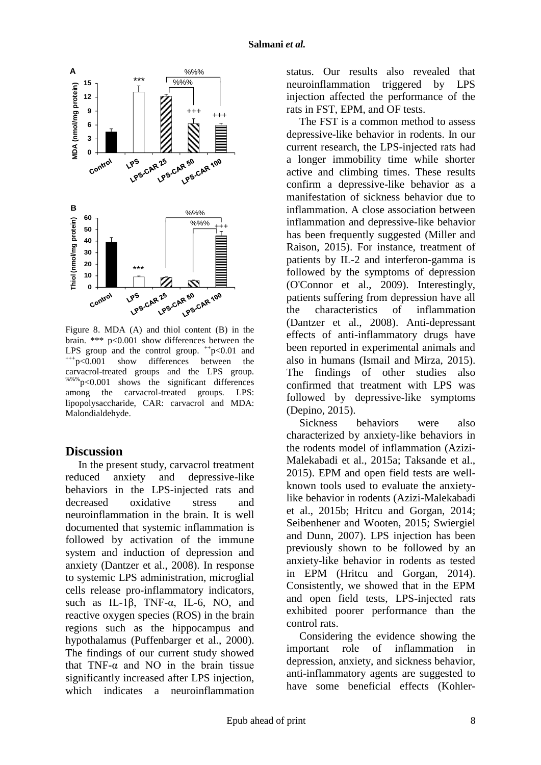

Figure 8. MDA (A) and thiol content (B) in the brain. \*\*\* p<0.001 show differences between the LPS group and the control group.  $+p<0.01$  and +++p<0.001 show differences between the carvacrol-treated groups and the LPS group. %%%p<0.001 shows the significant differences among the carvacrol-treated groups. LPS: lipopolysaccharide, CAR: carvacrol and MDA: Malondialdehyde.

## **Discussion**

In the present study, carvacrol treatment reduced anxiety and depressive-like behaviors in the LPS-injected rats and decreased oxidative stress and neuroinflammation in the brain. It is well documented that systemic inflammation is followed by activation of the immune system and induction of depression and anxiety [\(Dantzer et al., 2008\)](#page-9-3). In response to systemic LPS administration, microglial cells release pro-inflammatory indicators, such as IL-1 $\beta$ , TNF- $\alpha$ , IL-6, NO, and reactive oxygen species (ROS) in the brain regions such as the hippocampus and hypothalamus [\(Puffenbarger et al., 2000\)](#page-11-2). The findings of our current study showed that TNF- $\alpha$  and NO in the brain tissue significantly increased after LPS injection, which indicates a neuroinflammation status. Our results also revealed that neuroinflammation triggered by LPS injection affected the performance of the rats in FST, EPM, and OF tests.

The FST is a common method to assess depressive-like behavior in rodents. In our current research, the LPS-injected rats had a longer immobility time while shorter active and climbing times. These results confirm a depressive-like behavior as a manifestation of sickness behavior due to inflammation. A close association between inflammation and depressive-like behavior has been frequently suggested [\(Miller and](#page-11-3)  [Raison, 2015\)](#page-11-3). For instance, treatment of patients by IL-2 and interferon-gamma is followed by the symptoms of depression [\(O'Connor et al., 2009\)](#page-11-4). Interestingly, patients suffering from depression have all the characteristics of inflammation [\(Dantzer et al., 2008\)](#page-9-3). Anti-depressant effects of anti-inflammatory drugs have been reported in experimental animals and also in humans [\(Ismail and Mirza, 2015\)](#page-10-2). The findings of other studies also confirmed that treatment with LPS was followed by depressive-like symptoms [\(Depino, 2015\)](#page-9-4).

Sickness behaviors were also characterized by anxiety-like behaviors in the rodents model of inflammation [\(Azizi-](#page-9-5)[Malekabadi et al., 2015a;](#page-9-5) [Taksande et al.,](#page-12-0)  [2015\)](#page-12-0). EPM and open field tests are wellknown tools used to evaluate the anxietylike behavior in rodents [\(Azizi-Malekabadi](#page-9-6)  [et al., 2015b;](#page-9-6) [Hritcu and Gorgan, 2014;](#page-10-3) [Seibenhener and Wooten, 2015;](#page-12-1) [Swiergiel](#page-12-2)  [and Dunn, 2007\)](#page-12-2). LPS injection has been previously shown to be followed by an anxiety-like behavior in rodents as tested in EPM [\(Hritcu and Gorgan, 2014\)](#page-10-3). Consistently, we showed that in the EPM and open field tests, LPS-injected rats exhibited poorer performance than the control rats.

Considering the evidence showing the important role of inflammation in depression, anxiety, and sickness behavior, anti-inflammatory agents are suggested to have some beneficial effects [\(Kohler-](#page-11-5)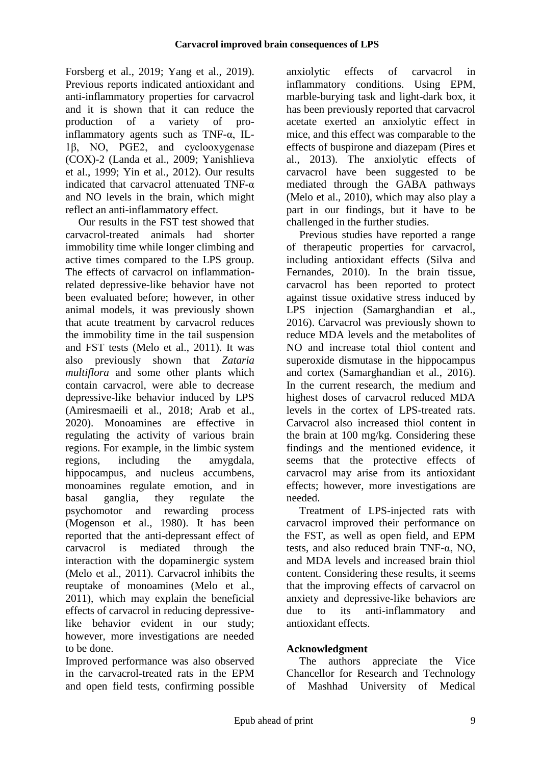[Forsberg et al., 2019;](#page-11-5) [Yang et al., 2019\)](#page-12-3). Previous reports indicated antioxidant and anti-inflammatory properties for carvacrol and it is shown that it can reduce the production of a variety of proinflammatory agents such as TNF-α, IL-1β, NO, PGE2, and cyclooxygenase (COX)-2 [\(Landa et al., 2009;](#page-11-6) [Yanishlieva](#page-12-4)  [et al., 1999;](#page-12-4) [Yin et al., 2012\)](#page-12-5). Our results indicated that carvacrol attenuated TNF-α and NO levels in the brain, which might reflect an anti-inflammatory effect.

Our results in the FST test showed that carvacrol-treated animals had shorter immobility time while longer climbing and active times compared to the LPS group. The effects of carvacrol on inflammationrelated depressive-like behavior have not been evaluated before; however, in other animal models, it was previously shown that acute treatment by carvacrol reduces the immobility time in the tail suspension and FST tests [\(Melo et al., 2011\)](#page-11-7). It was also previously shown that *Zataria multiflora* and some other plants which contain carvacrol, were able to decrease depressive-like behavior induced by LPS [\(Amiresmaeili et al., 2018;](#page-9-7) [Arab et al.,](#page-9-0)  [2020\)](#page-9-0). Monoamines are effective in regulating the activity of various brain regions. For example, in the limbic system regions, including the amygdala, hippocampus, and nucleus accumbens, monoamines regulate emotion, and in basal ganglia, they regulate the psychomotor and rewarding process [\(Mogenson et al., 1980\)](#page-11-8). It has been reported that the anti-depressant effect of carvacrol is mediated through the interaction with the dopaminergic system [\(Melo et al., 2011\)](#page-11-7). Carvacrol inhibits the reuptake of monoamines [\(Melo et al.,](#page-11-7)  [2011\)](#page-11-7), which may explain the beneficial effects of carvacrol in reducing depressivelike behavior evident in our study; however, more investigations are needed to be done.

Improved performance was also observed in the carvacrol-treated rats in the EPM and open field tests, confirming possible anxiolytic effects of carvacrol in inflammatory conditions. Using EPM, marble-burying task and light-dark box, it has been previously reported that carvacrol acetate exerted an anxiolytic effect in mice, and this effect was comparable to the effects of buspirone and diazepam [\(Pires et](#page-11-9)  [al., 2013\)](#page-11-9). The anxiolytic effects of carvacrol have been suggested to be mediated through the GABA pathways [\(Melo et al., 2010\)](#page-11-10), which may also play a part in our findings, but it have to be challenged in the further studies.

Previous studies have reported a range of therapeutic properties for carvacrol, including antioxidant effects [\(Silva and](#page-12-6)  [Fernandes, 2010\)](#page-12-6). In the brain tissue, carvacrol has been reported to protect against tissue oxidative stress induced by LPS injection [\(Samarghandian et al.,](#page-12-7)  [2016\)](#page-12-7). Carvacrol was previously shown to reduce MDA levels and the metabolites of NO and increase total thiol content and superoxide dismutase in the hippocampus and cortex [\(Samarghandian et al., 2016\)](#page-12-7). In the current research, the medium and highest doses of carvacrol reduced MDA levels in the cortex of LPS-treated rats. Carvacrol also increased thiol content in the brain at 100 mg/kg. Considering these findings and the mentioned evidence, it seems that the protective effects of carvacrol may arise from its antioxidant effects; however, more investigations are needed.

Treatment of LPS-injected rats with carvacrol improved their performance on the FST, as well as open field, and EPM tests, and also reduced brain TNF-α, NO, and MDA levels and increased brain thiol content. Considering these results, it seems that the improving effects of carvacrol on anxiety and depressive-like behaviors are due to its anti-inflammatory and antioxidant effects.

## **Acknowledgment**

The authors appreciate the Vice Chancellor for Research and Technology of Mashhad University of Medical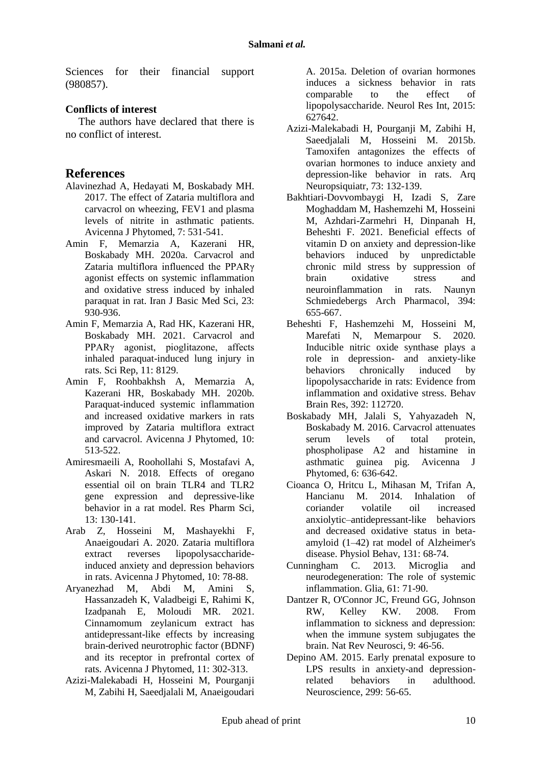Sciences for their financial support (980857).

## **Conflicts of interest**

The authors have declared that there is no conflict of interest.

## **References**

- Alavinezhad A, Hedayati M, Boskabady MH. 2017. The effect of Zataria multiflora and carvacrol on wheezing, FEV1 and plasma levels of nitrite in asthmatic patients. Avicenna J Phytomed, 7: 531-541.
- Amin F, Memarzia A, Kazerani HR, Boskabady MH. 2020a. Carvacrol and Zataria multiflora influenced the PPARγ agonist effects on systemic inflammation and oxidative stress induced by inhaled paraquat in rat. Iran J Basic Med Sci, 23: 930-936.
- Amin F, Memarzia A, Rad HK, Kazerani HR, Boskabady MH. 2021. Carvacrol and PPARγ agonist, pioglitazone, affects inhaled paraquat-induced lung injury in rats. Sci Rep, 11: 8129.
- Amin F, Roohbakhsh A, Memarzia A, Kazerani HR, Boskabady MH. 2020b. Paraquat-induced systemic inflammation and increased oxidative markers in rats improved by Zataria multiflora extract and carvacrol. Avicenna J Phytomed, 10: 513-522.
- <span id="page-9-7"></span>Amiresmaeili A, Roohollahi S, Mostafavi A, Askari N. 2018. Effects of oregano essential oil on brain TLR4 and TLR2 gene expression and depressive-like behavior in a rat model. Res Pharm Sci, 13: 130-141.
- <span id="page-9-0"></span>Arab Z, Hosseini M, Mashayekhi F, Anaeigoudari A. 2020. Zataria multiflora extract reverses lipopolysaccharideinduced anxiety and depression behaviors in rats. Avicenna J Phytomed, 10: 78-88.
- <span id="page-9-1"></span>Aryanezhad M, Abdi M, Amini S, Hassanzadeh K, Valadbeigi E, Rahimi K, Izadpanah E, Moloudi MR. 2021. Cinnamomum zeylanicum extract has antidepressant-like effects by increasing brain-derived neurotrophic factor (BDNF) and its receptor in prefrontal cortex of rats. Avicenna J Phytomed, 11: 302-313.
- <span id="page-9-5"></span>Azizi-Malekabadi H, Hosseini M, Pourganji M, Zabihi H, Saeedjalali M, Anaeigoudari

A. 2015a. Deletion of ovarian hormones induces a sickness behavior in rats comparable to the effect of lipopolysaccharide. Neurol Res Int, 2015: 627642.

- <span id="page-9-6"></span>Azizi-Malekabadi H, Pourganji M, Zabihi H, Saeedjalali M, Hosseini M. 2015b. Tamoxifen antagonizes the effects of ovarian hormones to induce anxiety and depression-like behavior in rats. Arq Neuropsiquiatr, 73: 132-139.
- Bakhtiari-Dovvombaygi H, Izadi S, Zare Moghaddam M, Hashemzehi M, Hosseini M, Azhdari-Zarmehri H, Dinpanah H, Beheshti F. 2021. Beneficial effects of vitamin D on anxiety and depression-like behaviors induced by unpredictable chronic mild stress by suppression of brain oxidative stress and neuroinflammation in rats. Naunyn Schmiedebergs Arch Pharmacol, 394: 655-667.
- Beheshti F, Hashemzehi M, Hosseini M, Marefati N, Memarpour S. 2020. Inducible nitric oxide synthase plays a role in depression- and anxiety-like behaviors chronically induced by lipopolysaccharide in rats: Evidence from inflammation and oxidative stress. Behav Brain Res, 392: 112720.
- Boskabady MH, Jalali S, Yahyazadeh N, Boskabady M. 2016. Carvacrol attenuates serum levels of total protein, phospholipase A2 and histamine in asthmatic guinea pig. Avicenna J Phytomed, 6: 636-642.
- <span id="page-9-2"></span>Cioanca O, Hritcu L, Mihasan M, Trifan A, Hancianu M. 2014. Inhalation of coriander volatile oil increased anxiolytic–antidepressant-like behaviors and decreased oxidative status in betaamyloid (1–42) rat model of Alzheimer's disease. Physiol Behav, 131: 68-74.
- Cunningham C. 2013. Microglia and neurodegeneration: The role of systemic inflammation. Glia, 61: 71-90.
- <span id="page-9-3"></span>Dantzer R, O'Connor JC, Freund GG, Johnson<br>RW. Kelley KW. 2008. From Kelley KW. 2008. From inflammation to sickness and depression: when the immune system subjugates the brain. Nat Rev Neurosci, 9: 46-56.
- <span id="page-9-4"></span>Depino AM. 2015. Early prenatal exposure to LPS results in anxiety-and depressionrelated behaviors in adulthood. Neuroscience, 299: 56-65.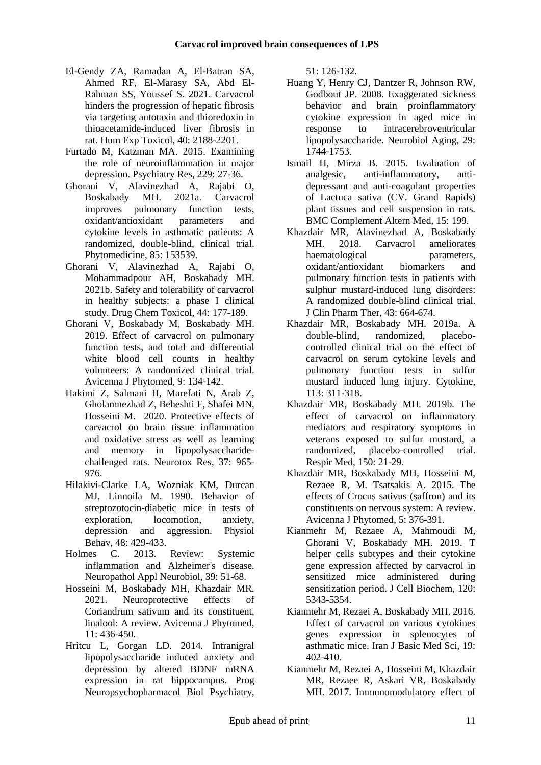- El-Gendy ZA, Ramadan A, El-Batran SA, Ahmed RF, El-Marasy SA, Abd El-Rahman SS, Youssef S. 2021. Carvacrol hinders the progression of hepatic fibrosis via targeting autotaxin and thioredoxin in thioacetamide-induced liver fibrosis in rat. Hum Exp Toxicol, 40: 2188-2201.
- Furtado M, Katzman MA. 2015. Examining the role of neuroinflammation in major depression. Psychiatry Res, 229: 27-36.
- Ghorani V, Alavinezhad A, Rajabi O, Boskabady MH. 2021a. Carvacrol improves pulmonary function tests, oxidant/antioxidant parameters and cytokine levels in asthmatic patients: A randomized, double-blind, clinical trial. Phytomedicine, 85: 153539.
- Ghorani V, Alavinezhad A, Rajabi O, Mohammadpour AH, Boskabady MH. 2021b. Safety and tolerability of carvacrol in healthy subjects: a phase I clinical study. Drug Chem Toxicol, 44: 177-189.
- Ghorani V, Boskabady M, Boskabady MH. 2019. Effect of carvacrol on pulmonary function tests, and total and differential white blood cell counts in healthy volunteers: A randomized clinical trial. Avicenna J Phytomed, 9: 134-142.
- <span id="page-10-1"></span>Hakimi Z, Salmani H, Marefati N, Arab Z, Gholamnezhad Z, Beheshti F, Shafei MN, Hosseini M. 2020. Protective effects of carvacrol on brain tissue inflammation and oxidative stress as well as learning and memory in lipopolysaccharidechallenged rats. Neurotox Res, 37: 965- 976.
- <span id="page-10-0"></span>Hilakivi-Clarke LA, Wozniak KM, Durcan MJ, Linnoila M. 1990. Behavior of streptozotocin-diabetic mice in tests of exploration, locomotion, anxiety, depression and aggression. Physiol Behav, 48: 429-433.
- Holmes C. 2013. Review: Systemic inflammation and Alzheimer's disease. Neuropathol Appl Neurobiol, 39: 51-68.
- Hosseini M, Boskabady MH, Khazdair MR. 2021. Neuroprotective effects of Coriandrum sativum and its constituent, linalool: A review. Avicenna J Phytomed, 11: 436-450.
- <span id="page-10-3"></span>Hritcu L, Gorgan LD. 2014. Intranigral lipopolysaccharide induced anxiety and depression by altered BDNF mRNA expression in rat hippocampus. Prog Neuropsychopharmacol Biol Psychiatry,

51: 126-132.

- Huang Y, Henry CJ, Dantzer R, Johnson RW, Godbout JP. 2008. Exaggerated sickness behavior and brain proinflammatory cytokine expression in aged mice in response to intracerebroventricular lipopolysaccharide. Neurobiol Aging, 29: 1744-1753.
- <span id="page-10-2"></span>Ismail H, Mirza B. 2015. Evaluation of analgesic, anti-inflammatory, antidepressant and anti-coagulant properties of Lactuca sativa (CV. Grand Rapids) plant tissues and cell suspension in rats. BMC Complement Altern Med, 15: 199.
- Khazdair MR, Alavinezhad A, Boskabady MH. 2018. Carvacrol ameliorates haematological parameters, oxidant/antioxidant biomarkers and pulmonary function tests in patients with sulphur mustard-induced lung disorders: A randomized double-blind clinical trial. J Clin Pharm Ther, 43: 664-674.
- Khazdair MR, Boskabady MH. 2019a. A double-blind, randomized, placebocontrolled clinical trial on the effect of carvacrol on serum cytokine levels and pulmonary function tests in sulfur mustard induced lung injury. Cytokine, 113: 311-318.
- Khazdair MR, Boskabady MH. 2019b. The effect of carvacrol on inflammatory mediators and respiratory symptoms in veterans exposed to sulfur mustard, a randomized, placebo-controlled trial. Respir Med, 150: 21-29.
- Khazdair MR, Boskabady MH, Hosseini M, Rezaee R, M. Tsatsakis A. 2015. The effects of Crocus sativus (saffron) and its constituents on nervous system: A review. Avicenna J Phytomed, 5: 376-391.
- Kianmehr M, Rezaee A, Mahmoudi M, Ghorani V, Boskabady MH. 2019. T helper cells subtypes and their cytokine gene expression affected by carvacrol in sensitized mice administered during sensitization period. J Cell Biochem, 120: 5343-5354.
- Kianmehr M, Rezaei A, Boskabady MH. 2016. Effect of carvacrol on various cytokines genes expression in splenocytes of asthmatic mice. Iran J Basic Med Sci, 19: 402-410.
- Kianmehr M, Rezaei A, Hosseini M, Khazdair MR, Rezaee R, Askari VR, Boskabady MH. 2017. Immunomodulatory effect of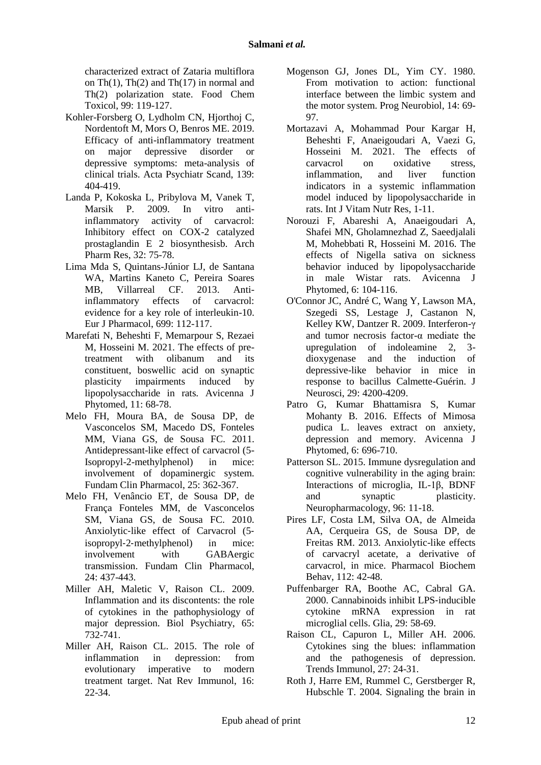characterized extract of Zataria multiflora on Th(1), Th(2) and Th(17) in normal and Th(2) polarization state. Food Chem Toxicol, 99: 119-127.

- <span id="page-11-5"></span>Kohler-Forsberg O, Lydholm CN, Hjorthoj C, Nordentoft M, Mors O, Benros ME. 2019. Efficacy of anti-inflammatory treatment on major depressive disorder or depressive symptoms: meta-analysis of clinical trials. Acta Psychiatr Scand, 139: 404-419.
- <span id="page-11-6"></span>Landa P, Kokoska L, Pribylova M, Vanek T, Marsik P. 2009. In vitro antiinflammatory activity of carvacrol: Inhibitory effect on COX-2 catalyzed prostaglandin E 2 biosynthesisb. Arch Pharm Res, 32: 75-78.
- Lima Mda S, Quintans-Júnior LJ, de Santana WA, Martins Kaneto C, Pereira Soares MB, Villarreal CF. 2013. Antiinflammatory effects of carvacrol: evidence for a key role of interleukin-10. Eur J Pharmacol, 699: 112-117.
- Marefati N, Beheshti F, Memarpour S, Rezaei M, Hosseini M. 2021. The effects of pretreatment with olibanum and its constituent, boswellic acid on synaptic plasticity impairments induced by lipopolysaccharide in rats. Avicenna J Phytomed, 11: 68-78.
- <span id="page-11-7"></span>Melo FH, Moura BA, de Sousa DP, de Vasconcelos SM, Macedo DS, Fonteles MM, Viana GS, de Sousa FC. 2011. Antidepressant-like effect of carvacrol (5- Isopropyl-2-methylphenol) in mice: involvement of dopaminergic system. Fundam Clin Pharmacol, 25: 362-367.
- <span id="page-11-10"></span>Melo FH, Venâncio ET, de Sousa DP, de França Fonteles MM, de Vasconcelos SM, Viana GS, de Sousa FC. 2010. Anxiolytic‐like effect of Carvacrol (5‐ isopropyl‐2‐methylphenol) in mice: involvement with GABAergic transmission. Fundam Clin Pharmacol, 24: 437-443.
- Miller AH, Maletic V, Raison CL. 2009. Inflammation and its discontents: the role of cytokines in the pathophysiology of major depression. Biol Psychiatry, 65: 732-741.
- <span id="page-11-3"></span>Miller AH, Raison CL. 2015. The role of inflammation in depression: from evolutionary imperative to modern treatment target. Nat Rev Immunol, 16: 22-34.
- <span id="page-11-8"></span>Mogenson GJ, Jones DL, Yim CY. 1980. From motivation to action: functional interface between the limbic system and the motor system. Prog Neurobiol, 14: 69- 97.
- Mortazavi A, Mohammad Pour Kargar H, Beheshti F, Anaeigoudari A, Vaezi G, Hosseini M. 2021. The effects of carvacrol on oxidative stress, inflammation, and liver function indicators in a systemic inflammation model induced by lipopolysaccharide in rats. Int J Vitam Nutr Res, 1-11.
- <span id="page-11-0"></span>Norouzi F, Abareshi A, Anaeigoudari A, Shafei MN, Gholamnezhad Z, Saeedjalali M, Mohebbati R, Hosseini M. 2016. The effects of Nigella sativa on sickness behavior induced by lipopolysaccharide in male Wistar rats. Avicenna J Phytomed, 6: 104-116.
- <span id="page-11-4"></span>O'Connor JC, André C, Wang Y, Lawson MA, Szegedi SS, Lestage J, Castanon N, Kelley KW, Dantzer R. 2009. Interferon-γ and tumor necrosis factor-α mediate the upregulation of indoleamine 2, 3 dioxygenase and the induction of depressive-like behavior in mice in response to bacillus Calmette-Guérin. J Neurosci, 29: 4200-4209.
- <span id="page-11-1"></span>Patro G, Kumar Bhattamisra S, Kumar Mohanty B. 2016. Effects of Mimosa pudica L. leaves extract on anxiety, depression and memory. Avicenna J Phytomed, 6: 696-710.
- Patterson SL. 2015. Immune dysregulation and cognitive vulnerability in the aging brain: Interactions of microglia, IL-1β, BDNF and synaptic plasticity. Neuropharmacology, 96: 11-18.
- <span id="page-11-9"></span>Pires LF, Costa LM, Silva OA, de Almeida AA, Cerqueira GS, de Sousa DP, de Freitas RM. 2013. Anxiolytic-like effects of carvacryl acetate, a derivative of carvacrol, in mice. Pharmacol Biochem Behav, 112: 42-48.
- <span id="page-11-2"></span>Puffenbarger RA, Boothe AC, Cabral GA. 2000. Cannabinoids inhibit LPS‐inducible cytokine mRNA expression in rat microglial cells. Glia, 29: 58-69.
- Raison CL, Capuron L, Miller AH. 2006. Cytokines sing the blues: inflammation and the pathogenesis of depression. Trends Immunol, 27: 24-31.
- Roth J, Harre EM, Rummel C, Gerstberger R, Hubschle T. 2004. Signaling the brain in